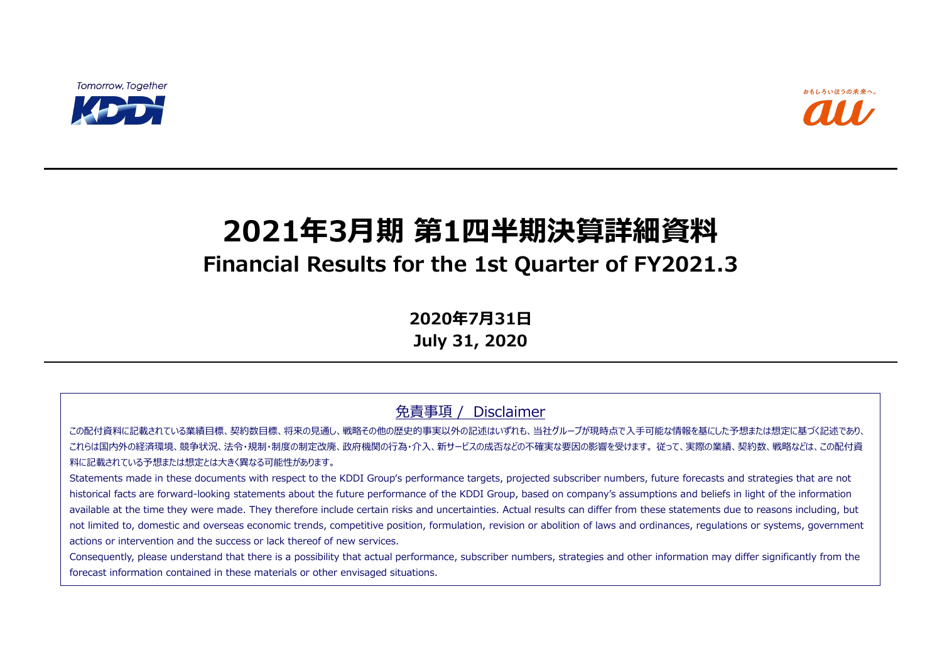**Tomorrow, Together** 



# **2021年3月期 第1四半期決算詳細資料 Financial Results for the 1st Quarter of FY2021.3**

**2020年7月31日 July 31, 2020**

免責事項 / Disclaimer

この配付資料に記載されている業績目標、契約数目標、将来の見通し、戦略その他の歴史的事実以外の記述はいずれも、当社グループが現時点で入手可能な情報を基にした予想または想定に基づく記述であり、 これらは国内外の経済環境、競争状況、法令・規制・制度の制定改廃、政府機関の行為・介入、新サービスの成否などの不確実な要因の影響を受けます。 従って、実際の業績、契約数、戦略などは、この配付資 料に記載されている予想または想定とは大きく異なる可能性があります。

Statements made in these documents with respect to the KDDI Group's performance targets, projected subscriber numbers, future forecasts and strategies that are not historical facts are forward-looking statements about the future performance of the KDDI Group, based on company's assumptions and beliefs in light of the information available at the time they were made. They therefore include certain risks and uncertainties. Actual results can differ from these statements due to reasons including, but not limited to, domestic and overseas economic trends, competitive position, formulation, revision or abolition of laws and ordinances, regulations or systems, government actions or intervention and the success or lack thereof of new services.

Consequently, please understand that there is a possibility that actual performance, subscriber numbers, strategies and other information may differ significantly from the forecast information contained in these materials or other envisaged situations.

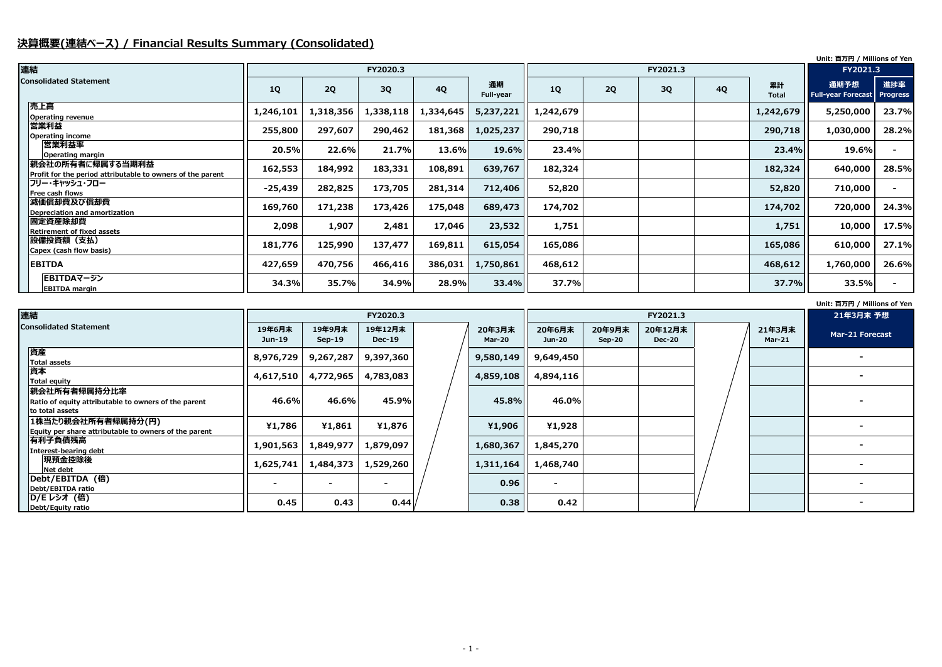## **決算概要(連結ベース) / Financial Results Summary (Consolidated)**

#### **Unit: 百万円 / Millions of Yen**

|    |              | Unit: 百万円 / Millions of Yen |                 |
|----|--------------|-----------------------------|-----------------|
|    |              | <b>FY2021.3</b>             |                 |
| 4Q | 累計           | 通期予想                        | 進捗率             |
|    | <b>Total</b> | <b>Full-year Forecast</b>   | <b>Progress</b> |
|    | 1,242,679    | 5,250,000                   | 23.7%           |
|    | 290,718      | 1,030,000                   | 28.2%           |
|    | 23.4%        | 19.6%                       |                 |
|    | 182,324      | 640,000                     | 28.5%           |
|    | 52,820       | 710,000                     |                 |
|    | 174,702      | 720,000                     | 24.3%           |
|    | 1,751        | 10,000                      | 17.5%           |
|    | 165,086      | 610,000                     | 27.1%           |
|    | 468,612      | 1,760,000                   | 26.6%           |
|    | 37.7%        | 33.5%                       |                 |

| 連結                                                                                       |                  |                    | FY2020.3                 |  | FY2021.3                |                         |                    |                          |  |
|------------------------------------------------------------------------------------------|------------------|--------------------|--------------------------|--|-------------------------|-------------------------|--------------------|--------------------------|--|
| <b>Consolidated Statement</b>                                                            | 19年6月末<br>Jun-19 | 19年9月末<br>$Sep-19$ | 19年12月末<br><b>Dec-19</b> |  | 20年3月末<br><b>Mar-20</b> | 20年6月末<br><b>Jun-20</b> | 20年9月末<br>$Sep-20$ | 20年12月末<br><b>Dec-20</b> |  |
| 資産<br><b>Total assets</b>                                                                | 8,976,729        | 9,267,287          | 9,397,360                |  | 9,580,149               | 9,649,450               |                    |                          |  |
| 資本<br><b>Total equity</b>                                                                | 4,617,510        | 4,772,965          | 4,783,083                |  | 4,859,108               | 4,894,116               |                    |                          |  |
| 親会社所有者帰属持分比率<br>Ratio of equity attributable to owners of the parent<br>lto total assets | 46.6%            | 46.6%              | 45.9%                    |  | 45.8%                   | 46.0%                   |                    |                          |  |
| 1株当たり親会社所有者帰属持分(円)<br>Equity per share attributable to owners of the parent              | ¥1,786           | ¥1,861             | ¥1,876                   |  | ¥1,906                  | ¥1,928                  |                    |                          |  |
| 有利子負債残高 <br>Interest-bearing debt                                                        | 1,901,563        | 1,849,977          | 1,879,097                |  | 1,680,367               | 1,845,270               |                    |                          |  |
| 現預金控除後<br>Net debt                                                                       | 1,625,741        | 1,484,373          | 1,529,260                |  | 1,311,164               | 1,468,740               |                    |                          |  |
| Debt/EBITDA (倍)<br>Debt/EBITDA ratio                                                     |                  |                    |                          |  | 0.96                    | $\sim$                  |                    |                          |  |
| D/E レシオ (倍)<br>Debt/Equity ratio                                                         | 0.45             | 0.43               | 0.44                     |  | 0.38                    | 0.42                    |                    |                          |  |

| 連結                                                                             |           |           |           |           | FY2021.3        |           |    |    |           |             |                                   |                        |
|--------------------------------------------------------------------------------|-----------|-----------|-----------|-----------|-----------------|-----------|----|----|-----------|-------------|-----------------------------------|------------------------|
| <b>Consolidated Statement</b>                                                  | <b>1Q</b> | 2Q        | 3Q        | <b>4Q</b> | 通期<br>Full-year | <b>1Q</b> | 2Q | 3Q | <b>4Q</b> | 累計<br>Total | 通期予想<br><b>Full-year Forecast</b> | 進捗率<br><b>Progress</b> |
| 売上高<br><b>Operating revenue</b>                                                | 1,246,101 | 1,318,356 | 1,338,118 | 1,334,645 | 5,237,221       | 1,242,679 |    |    |           | 1,242,679   | 5,250,000                         | 23.7%                  |
| 営業利益<br><b>Operating income</b>                                                | 255,800   | 297,607   | 290,462   | 181,368   | 1,025,237       | 290,718   |    |    |           | 290,718     | 1,030,000                         | 28.2%                  |
| 営業利益率<br>Operating margin                                                      | 20.5%     | 22.6%     | 21.7%     | 13.6%     | 19.6%           | 23.4%     |    |    |           | 23.4%       | 19.6%                             | $\sim$                 |
| 親会社の所有者に帰属する当期利益<br>Profit for the period attributable to owners of the parent | 162,553   | 184,992   | 183,331   | 108,891   | 639,767         | 182,324   |    |    |           | 182,324     | 640,000                           | 28.5%                  |
| フリー・キャッシュ・フロー<br>Free cash flows                                               | $-25,439$ | 282,825   | 173,705   | 281,314   | 712,406         | 52,820    |    |    |           | 52,820      | 710,000                           |                        |
| 減価償却費及び償却費<br>Depreciation and amortization                                    | 169,760   | 171,238   | 173,426   | 175,048   | 689,473         | 174,702   |    |    |           | 174,702     | 720,000                           | 24.3%                  |
| 固定資産除却費<br><b>Retirement of fixed assets</b>                                   | 2,098     | 1,907     | 2,481     | 17,046    | 23,532          | 1,751     |    |    |           | 1,751       | 10,000                            | 17.5%                  |
| 設備投資額(支払)<br>Capex (cash flow basis)                                           | 181,776   | 125,990   | 137,477   | 169,811   | 615,054         | 165,086   |    |    |           | 165,086     | 610,000                           | 27.1%                  |
| <b>EBITDA</b>                                                                  | 427,659   | 470,756   | 466,416   | 386,031   | 1,750,861       | 468,612   |    |    |           | 468,612     | 1,760,000                         | 26.6%                  |
| EBITDAマージン<br><b>EBITDA margin</b>                                             | 34.3%     | 35.7%     | 34.9%     | 28.9%     | 33.4%           | 37.7%     |    |    |           | 37.7%       | 33.5%                             | $\sim$                 |

|                         | $10111$ is a subset of the set of $1011$ |
|-------------------------|------------------------------------------|
|                         | 21年3月末 予想                                |
| 21年3月末<br><b>Mar-21</b> | Mar-21 Forecast                          |
|                         |                                          |
|                         |                                          |
|                         |                                          |
|                         |                                          |
|                         |                                          |
|                         |                                          |
|                         |                                          |
|                         |                                          |
|                         |                                          |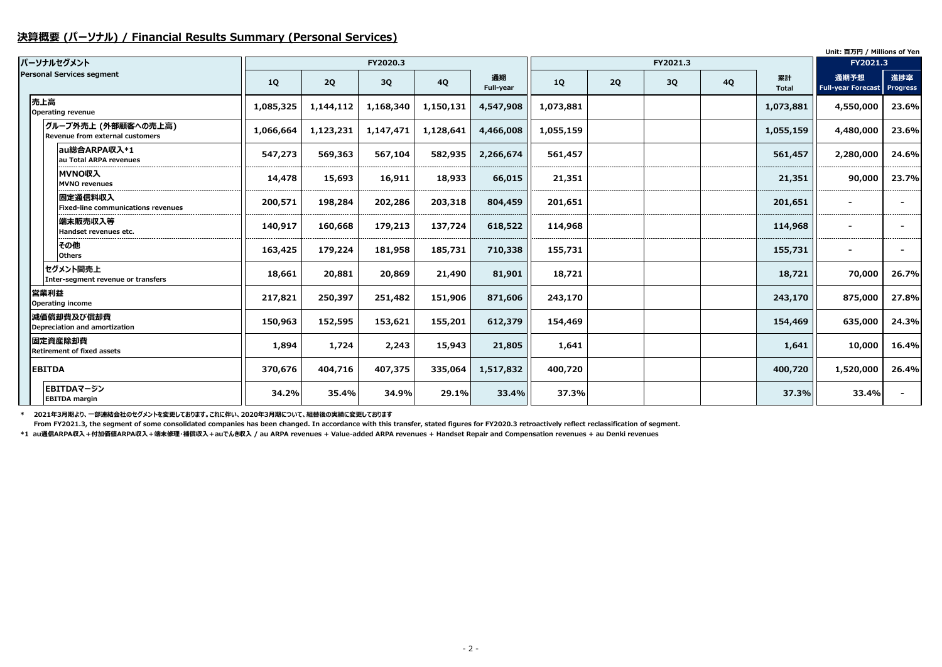#### **決算概要 (パーソナル) / Financial Results Summary (Personal Services)**

|                                                        |           |           |           |           |                 |           |    |          |           |                    | Unit: 百万円 / Millions of Yen       |                        |
|--------------------------------------------------------|-----------|-----------|-----------|-----------|-----------------|-----------|----|----------|-----------|--------------------|-----------------------------------|------------------------|
| パーソナルセグメント                                             |           |           | FY2020.3  |           |                 |           |    | FY2021.3 |           |                    | FY2021.3                          |                        |
| <b>Personal Services segment</b>                       | <b>1Q</b> | 2Q        | 3Q        | <b>4Q</b> | 通期<br>Full-year | <b>1Q</b> | 2Q | 3Q       | <b>4Q</b> | 累計<br><b>Total</b> | 通期予想<br><b>Full-year Forecast</b> | 進捗率<br><b>Progress</b> |
| 売上高<br>Operating revenue                               | 1,085,325 | 1,144,112 | 1,168,340 | 1,150,131 | 4,547,908       | 1,073,881 |    |          |           | 1,073,881          | 4,550,000                         | 23.6%                  |
| グループ外売上 (外部顧客への売上高)<br>Revenue from external customers | 1,066,664 | 1,123,231 | 1,147,471 | 1,128,641 | 4,466,008       | 1,055,159 |    |          |           | 1,055,159          | 4,480,000                         | 23.6%                  |
| au総合ARPA収入*1<br>au Total ARPA revenues                 | 547,273   | 569,363   | 567,104   | 582,935   | 2,266,674       | 561,457   |    |          |           | 561,457            | 2,280,000                         | 24.6%                  |
| <b>MVNO収入</b><br><b>MVNO</b> revenues                  | 14,478    | 15,693    | 16,911    | 18,933    | 66,015          | 21,351    |    |          |           | 21,351             | 90,000                            | 23.7%                  |
| 固定通信料収入<br>Fixed-line communications revenues          | 200,571   | 198,284   | 202,286   | 203,318   | 804,459         | 201,651   |    |          |           | 201,651            |                                   |                        |
| 端末販売収入等<br>Handset revenues etc.                       | 140,917   | 160,668   | 179,213   | 137,724   | 618,522         | 114,968   |    |          |           | 114,968            |                                   |                        |
| その他<br><b>Others</b>                                   | 163,425   | 179,224   | 181,958   | 185,731   | 710,338         | 155,731   |    |          |           | 155,731            |                                   |                        |
| セグメント間売上<br>Inter-segment revenue or transfers         | 18,661    | 20,881    | 20,869    | 21,490    | 81,901          | 18,721    |    |          |           | 18,721             | 70,000                            | 26.7%                  |
| 営業利益<br><b>Operating income</b>                        | 217,821   | 250,397   | 251,482   | 151,906   | 871,606         | 243,170   |    |          |           | 243,170            | 875,000                           | 27.8%                  |
| 減価償却費及び償却費<br>Depreciation and amortization            | 150,963   | 152,595   | 153,621   | 155,201   | 612,379         | 154,469   |    |          |           | 154,469            | 635,000                           | 24.3%                  |
| 固定資産除却費<br><b>Retirement of fixed assets</b>           | 1,894     | 1,724     | 2,243     | 15,943    | 21,805          | 1,641     |    |          |           | 1,641              | 10,000                            | 16.4%                  |
| <b>EBITDA</b>                                          | 370,676   | 404,716   | 407,375   | 335,064   | 1,517,832       | 400,720   |    |          |           | 400,720            | 1,520,000                         | 26.4%                  |
| EBITDAマージン<br><b>EBITDA</b> margin                     | 34.2%     | 35.4%     | 34.9%     | 29.1%     | 33.4%           | 37.3%     |    |          |           | 37.3%              | 33.4%                             |                        |

**\* 2021年3月期より、一部連結会社のセグメントを変更しております。これに伴い、2020年3月期について、組替後の実績に変更しております**

 **From FY2021.3, the segment of some consolidated companies has been changed. In accordance with this transfer, stated figures for FY2020.3 retroactively reflect reclassification of segment. \*1 au通信ARPA収入+付加価値ARPA収入+端末修理・補償収入+auでんき収入 / au ARPA revenues + Value-added ARPA revenues + Handset Repair and Compensation revenues + au Denki revenues**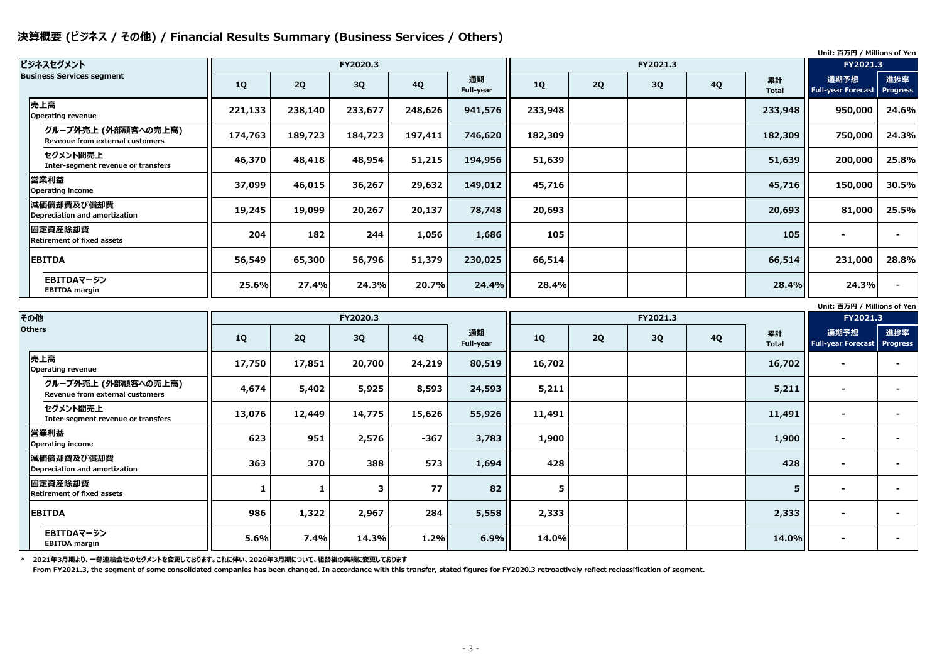### **決算概要 (ビジネス / その他) / Financial Results Summary (Business Services / Others)**

**Unit: 百万円 / Millions of Yen**

|                                                         |           |         |          |           |                 |         |    |          |           |                    | Unit: 百万円 / Millions of Yen       |                        |
|---------------------------------------------------------|-----------|---------|----------|-----------|-----------------|---------|----|----------|-----------|--------------------|-----------------------------------|------------------------|
| ビジネスセグメント                                               |           |         | FY2020.3 |           |                 |         |    | FY2021.3 |           |                    | FY2021.3                          |                        |
| <b>Business Services segment</b>                        | <b>1Q</b> | 2Q      | 3Q       | <b>4Q</b> | 通期<br>Full-year | 1Q      | 2Q | 3Q       | <b>4Q</b> | 累計<br><b>Total</b> | 通期予想<br><b>Full-year Forecast</b> | 進捗率<br><b>Progress</b> |
| 売上高<br><b>Operating revenue</b>                         | 221,133   | 238,140 | 233,677  | 248,626   | 941,576         | 233,948 |    |          |           | 233,948            | 950,000                           | 24.6%                  |
| グループ外売上 (外部顧客への売上高) <br>Revenue from external customers | 174,763   | 189,723 | 184,723  | 197,411   | 746,620         | 182,309 |    |          |           | 182,309            | 750,000                           | 24.3%                  |
| セグメント間売上<br>Inter-segment revenue or transfers          | 46,370    | 48,418  | 48,954   | 51,215    | 194,956         | 51,639  |    |          |           | 51,639             | 200,000                           | 25.8%                  |
| 営業利益<br><b>Operating income</b>                         | 37,099    | 46,015  | 36,267   | 29,632    | 149,012         | 45,716  |    |          |           | 45,716             | 150,000                           | 30.5%                  |
| 減価償却費及び償却費<br>Depreciation and amortization             | 19,245    | 19,099  | 20,267   | 20,137    | 78,748          | 20,693  |    |          |           | 20,693             | 81,000                            | 25.5%                  |
| 固定資産除却費<br><b>Retirement of fixed assets</b>            | 204       | 182     | 244      | 1,056     | 1,686           | 105     |    |          |           | 105                | $\blacksquare$                    |                        |
| <b>EBITDA</b>                                           | 56,549    | 65,300  | 56,796   | 51,379    | 230,025         | 66,514  |    |          |           | 66,514             | 231,000                           | 28.8%                  |
| EBITDAマージン<br><b>EBITDA</b> margin                      | 25.6%     | 27.4%   | 24.3%    | 20.7%     | 24.4%           | 28.4%   |    |          |           | 28.4%              | 24.3%                             |                        |

**\* 2021年3月期より、一部連結会社のセグメントを変更しております。これに伴い、2020年3月期について、組替後の実績に変更しております**

 **From FY2021.3, the segment of some consolidated companies has been changed. In accordance with this transfer, stated figures for FY2020.3 retroactively reflect reclassification of segment.**

| その他           |                                                        |        |        | FY2020.3 |           |                 |        |    | FY2021.3 |           |                    | FY2021.3                                   |     |
|---------------|--------------------------------------------------------|--------|--------|----------|-----------|-----------------|--------|----|----------|-----------|--------------------|--------------------------------------------|-----|
| <b>Others</b> |                                                        | 1Q     | 2Q     | 3Q       | <b>4Q</b> | 通期<br>Full-year | 1Q     | 2Q | 3Q       | <b>4Q</b> | 累計<br><b>Total</b> | 通期予想<br><b>Full-year Forecast Progress</b> | 進捗率 |
|               | 売上高<br><b>Operating revenue</b>                        | 17,750 | 17,851 | 20,700   | 24,219    | 80,519          | 16,702 |    |          |           | 16,702             | $\overline{\phantom{0}}$                   |     |
|               | グループ外売上 (外部顧客への売上高)<br>Revenue from external customers | 4,674  | 5,402  | 5,925    | 8,593     | 24,593          | 5,211  |    |          |           | 5,211              | $\sim$                                     |     |
|               | セグメント間売上<br>Inter-segment revenue or transfers         | 13,076 | 12,449 | 14,775   | 15,626    | 55,926          | 11,491 |    |          |           | 11,491             | $\blacksquare$                             |     |
|               | 営業利益<br><b>Operating income</b>                        | 623    | 951    | 2,576    | $-367$    | 3,783           | 1,900  |    |          |           | 1,900              | $\blacksquare$                             |     |
|               | 減価償却費及び償却費<br>Depreciation and amortization            | 363    | 370    | 388      | 573       | 1,694           | 428    |    |          |           | 428                | $\overline{\phantom{0}}$                   |     |
|               | 固定資産除却費<br><b>Retirement of fixed assets</b>           |        |        | 3        | 77        | 82              | 5      |    |          |           | 5 <sup>5</sup>     |                                            |     |
|               | <b>EBITDA</b>                                          | 986    | 1,322  | 2,967    | 284       | 5,558           | 2,333  |    |          |           | 2,333              | $\blacksquare$                             |     |
|               | EBITDAマージン<br><b>EBITDA</b> margin                     | 5.6%   | 7.4%   | 14.3%    | 1.2%      | 6.9%            | 14.0%  |    |          |           | 14.0%              | $\blacksquare$                             |     |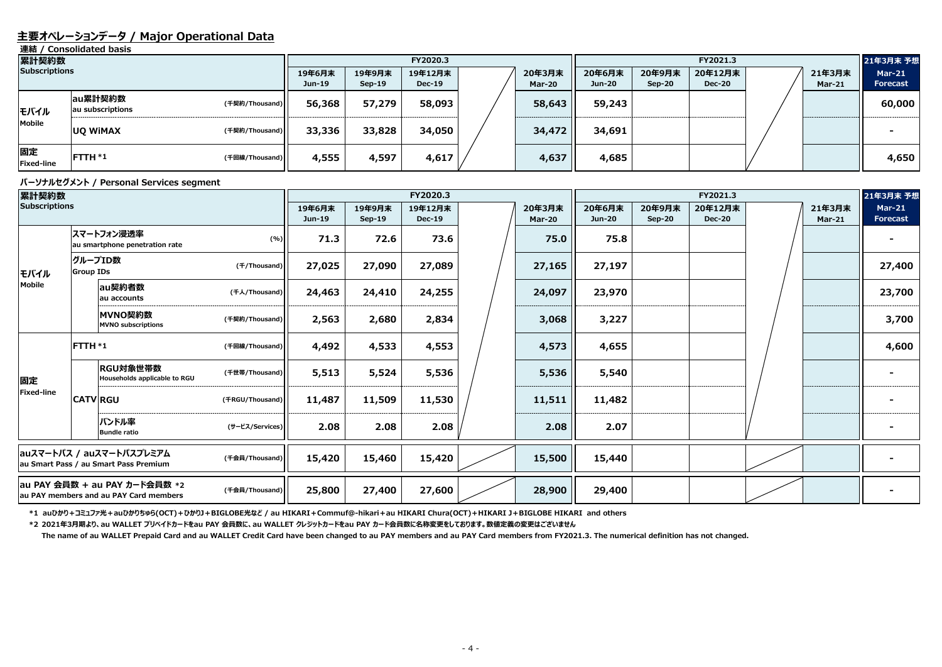#### **主要オペレーションデータ / Major Operational Data**

**連結 / Consolidated basis**

#### **パーソナルセグメント / Personal Services segment**

| 累計契約数                   |                             |                |        |                    | FY2020.3                 |                  | FY2021.3                |                    |                          |  |                         | 21年3月末 予想                 |
|-------------------------|-----------------------------|----------------|--------|--------------------|--------------------------|------------------|-------------------------|--------------------|--------------------------|--|-------------------------|---------------------------|
| <b>Subscriptions</b>    |                             |                |        | 19年9月末<br>$Sep-19$ | 19年12月末<br><b>Dec-19</b> | 20年3月末<br>Mar-20 | 20年6月末<br><b>Jun-20</b> | 20年9月末<br>$Sep-20$ | 20年12月末<br><b>Dec-20</b> |  | 21年3月末<br><b>Mar-21</b> | <b>Mar-21</b><br>Forecast |
| モバイル                    | au累計契約数<br>au subscriptions | (千契約/Thousand) | 56,368 | 57,279             | 58,093                   | 58,643           | 59,243                  |                    |                          |  |                         | 60,000                    |
| Mobile                  | <b>UQ WIMAX</b>             | (千契約/Thousand) | 33,336 | 33,828             | 34,050                   | 34,472           | 34,691                  |                    |                          |  |                         |                           |
| 固定<br><b>Fixed-line</b> | FTTH *1                     | (千回線/Thousand) | 4,555  | 4,597              | 4,617                    | 4,637            | 4,685                   |                    |                          |  |                         | 4,650                     |

**\*2 2021年3月期より、au WALLET プリペイドカードをau PAY 会員数に、au WALLET クレジットカードをau PAY カード会員数に名称変更をしております。数値定義の変更はございません** 

| 累計契約数                                                             |                                                                                           |                                              |                 |                  |                    | FY2020.3                 |                         | FY2021.3                |                         |                          |  |                         | 21年3月末 予想                        |
|-------------------------------------------------------------------|-------------------------------------------------------------------------------------------|----------------------------------------------|-----------------|------------------|--------------------|--------------------------|-------------------------|-------------------------|-------------------------|--------------------------|--|-------------------------|----------------------------------|
| <b>Subscriptions</b>                                              |                                                                                           |                                              |                 | 19年6月末<br>Jun-19 | 19年9月末<br>$Sep-19$ | 19年12月末<br><b>Dec-19</b> | 20年3月末<br><b>Mar-20</b> | 20年6月末<br><b>Jun-20</b> | 20年9月末<br><b>Sep-20</b> | 20年12月末<br><b>Dec-20</b> |  | 21年3月末<br><b>Mar-21</b> | <b>Mar-21</b><br><b>Forecast</b> |
|                                                                   |                                                                                           | スマートフォン浸透率<br>au smartphone penetration rate | (%)]            | 71.3             | 72.6               | 73.6                     | 75.0                    | 75.8                    |                         |                          |  |                         |                                  |
| モバイル                                                              | <b>Group IDs</b>                                                                          | クループID数                                      | (f/Thousand)    | 27,025           | 27,090             | 27,089                   | 27,165                  | 27,197                  |                         |                          |  |                         | 27,400                           |
| <b>Mobile</b>                                                     |                                                                                           | au契約者数<br>lau accounts                       | (千人/Thousand)   | 24,463           | 24,410             | 24,255                   | 24,097                  | 23,970                  |                         |                          |  |                         | 23,700                           |
|                                                                   |                                                                                           | MVNO契約数<br><b>MVNO subscriptions</b>         | (千契約/Thousand)  | 2,563            | 2,680              | 2,834                    | 3,068                   | 3,227                   |                         |                          |  | 3,700                   |                                  |
|                                                                   |                                                                                           | FTTH *1<br>(千回線/Thousand)                    |                 | 4,492            | 4,533              | 4,553                    | 4,573                   | 4,655                   |                         |                          |  |                         | 4,600                            |
| 固定                                                                | RGU対象世帯数<br>Households applicable to RGU                                                  |                                              | (千世帯/Thousand)  | 5,513            | 5,524              | 5,536                    | 5,536                   | 5,540                   |                         |                          |  |                         |                                  |
| Fixed-line                                                        |                                                                                           | <b>CATV RGU</b>                              | (FRGU/Thousand) | 11,487           | 11,509             | 11,530                   | 11,511                  | 11,482                  |                         |                          |  |                         |                                  |
|                                                                   |                                                                                           | バンドル率<br><b>Bundle ratio</b>                 | (サービス/Services) | 2.08             | 2.08               | 2.08                     | 2.08                    | 2.07                    |                         |                          |  |                         |                                  |
| auスマートパス / auスマートパスプレミアム<br>au Smart Pass / au Smart Pass Premium |                                                                                           | (千会員/Thousand)                               | 15,420          | 15,460           | 15,420             | 15,500                   | 15,440                  |                         |                         |                          |  |                         |                                  |
|                                                                   | au PAY 会員数 + au PAY カード会員数 *2<br>(千会員/Thousand)<br>au PAY members and au PAY Card members |                                              |                 | 25,800           | 27,400             | 27,600                   | 28,900                  | 29,400                  |                         |                          |  |                         |                                  |

\*1 auひかり+コミュファ光+auひかりちゅら(OCT)+ひかりJ+BIGLOBE光など / au HIKARI+Commuf@-hikari+au HIKARI Chura(OCT)+HIKARI J+BIGLOBE HIKARI and others

**The name of au WALLET Prepaid Card and au WALLET Credit Card have been changed to au PAY members and au PAY Card members from FY2021.3. The numerical definition has not changed.**

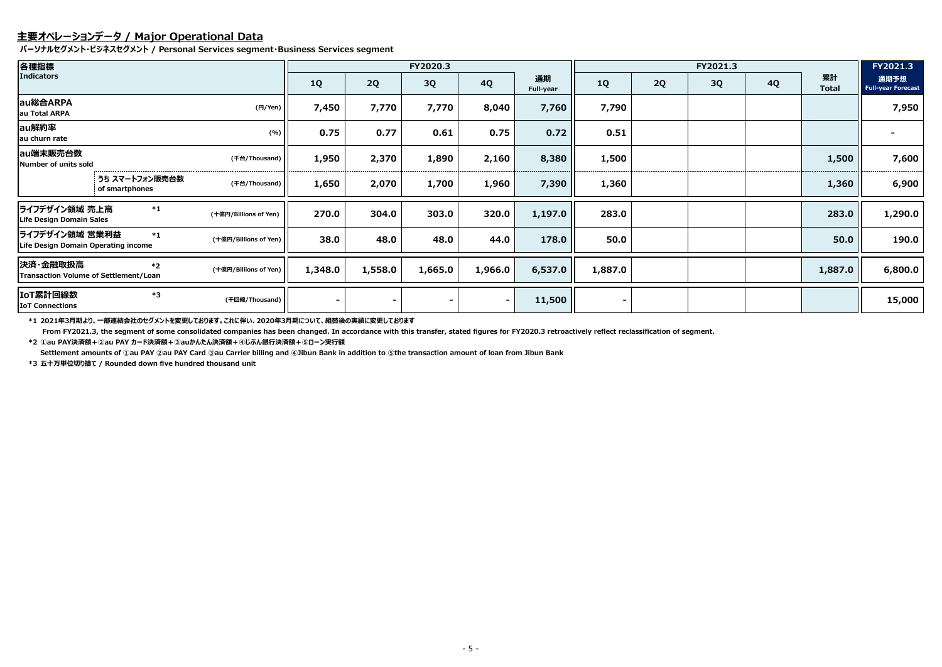## **主要オペレーションデータ / Major Operational Data**

**パーソナルセグメント・ビジネスセグメント / Personal Services segment・Business Services segment**

**\*1 2021年3月期より、一部連結会社のセグメントを変更しております。これに伴い、2020年3月期について、組替後の実績に変更しております**

 **From FY2021.3, the segment of some consolidated companies has been changed. In accordance with this transfer, stated figures for FY2020.3 retroactively reflect reclassification of segment. \*2 ①au PAY決済額+②au PAY カード決済額+③auかんたん決済額+④じぶん銀行決済額+⑤ローン実行額**

| 各種指標                                                  |                                  |                       |                |         | FY2020.3 |           |                 | FY2021.3       |    |    |           |                    | FY2021.3                          |
|-------------------------------------------------------|----------------------------------|-----------------------|----------------|---------|----------|-----------|-----------------|----------------|----|----|-----------|--------------------|-----------------------------------|
| <b>Indicators</b>                                     |                                  |                       | <b>1Q</b>      | 2Q      | 3Q       | <b>4Q</b> | 通期<br>Full-year | <b>1Q</b>      | 2Q | 3Q | <b>4Q</b> | 累計<br><b>Total</b> | 通期予想<br><b>Full-year Forecast</b> |
| au総合ARPA<br>au Total ARPA                             |                                  | (H/Yen)               | 7,450          | 7,770   | 7,770    | 8,040     | 7,760           | 7,790          |    |    |           |                    | 7,950                             |
| au解約率<br>au churn rate                                |                                  | (%)                   | 0.75           | 0.77    | 0.61     | 0.75      | 0.72            | 0.51           |    |    |           |                    |                                   |
| au端末販売台数<br>Number of units sold                      |                                  | (千台/Thousand)         | 1,950          | 2,370   | 1,890    | 2,160     | 8,380           | 1,500          |    |    |           | 1,500              | 7,600                             |
|                                                       | うち スマートフォン販売台数<br>of smartphones | (千台/Thousand)         | 1,650          | 2,070   | 1,700    | 1,960     | 7,390           | 1,360          |    |    |           | 1,360              | 6,900                             |
| ライフデザイン領域 売上高<br>Life Design Domain Sales             | $*1$                             | (十億円/Billions of Yen) | 270.0          | 304.0   | 303.0    | 320.0     | 1,197.0         | 283.0          |    |    |           | 283.0              | 1,290.0                           |
| ライフデザイン領域 営業利益<br>Life Design Domain Operating income | $*1$                             | (十億円/Billions of Yen) | 38.0           | 48.0    | 48.0     | 44.0      | 178.0           | 50.0           |    |    |           | 50.0               | 190.0                             |
| 決済・金融取扱高<br>Transaction Volume of Settlement/Loan     | $*2$                             | (十億円/Billions of Yen) | 1,348.0        | 1,558.0 | 1,665.0  | 1,966.0   | 6,537.0         | 1,887.0        |    |    |           | 1,887.0            | 6,800.0                           |
| IoT累計回線数<br><b>IOT Connections</b>                    | *3                               | (千回線/Thousand)        | $\blacksquare$ |         |          | $\sim$    | 11,500          | $\blacksquare$ |    |    |           |                    | 15,000                            |

**Settlement amounts of ①au PAY ②au PAY Card ③au Carrier billing and ④Jibun Bank in addition to ⑤the transaction amount of loan from Jibun Bank**

**\*3 五十万単位切り捨て / Rounded down five hundred thousand unit**